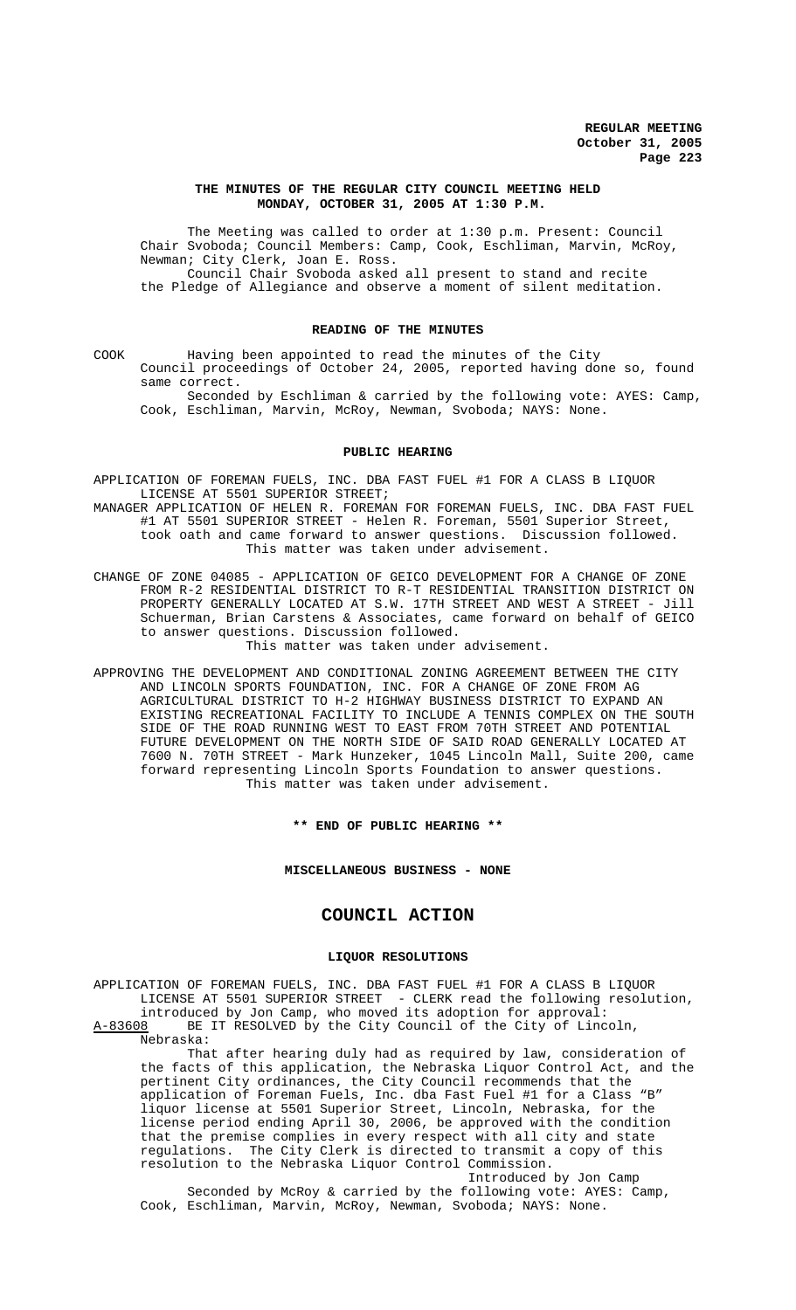#### **THE MINUTES OF THE REGULAR CITY COUNCIL MEETING HELD MONDAY, OCTOBER 31, 2005 AT 1:30 P.M.**

The Meeting was called to order at 1:30 p.m. Present: Council Chair Svoboda; Council Members: Camp, Cook, Eschliman, Marvin, McRoy, Newman; City Clerk, Joan E. Ross. Council Chair Svoboda asked all present to stand and recite the Pledge of Allegiance and observe a moment of silent meditation.

### **READING OF THE MINUTES**

COOK Having been appointed to read the minutes of the City Council proceedings of October 24, 2005, reported having done so, found same correct.

Seconded by Eschliman & carried by the following vote: AYES: Camp, Cook, Eschliman, Marvin, McRoy, Newman, Svoboda; NAYS: None.

#### **PUBLIC HEARING**

- APPLICATION OF FOREMAN FUELS, INC. DBA FAST FUEL #1 FOR A CLASS B LIQUOR LICENSE AT 5501 SUPERIOR STREET;
- MANAGER APPLICATION OF HELEN R. FOREMAN FOR FOREMAN FUELS, INC. DBA FAST FUEL #1 AT 5501 SUPERIOR STREET - Helen R. Foreman, 5501 Superior Street, took oath and came forward to answer questions. Discussion followed. This matter was taken under advisement.
- CHANGE OF ZONE 04085 APPLICATION OF GEICO DEVELOPMENT FOR A CHANGE OF ZONE FROM R-2 RESIDENTIAL DISTRICT TO R-T RESIDENTIAL TRANSITION DISTRICT ON PROPERTY GENERALLY LOCATED AT S.W. 17TH STREET AND WEST A STREET - Jill Schuerman, Brian Carstens & Associates, came forward on behalf of GEICO to answer questions. Discussion followed.

This matter was taken under advisement.

APPROVING THE DEVELOPMENT AND CONDITIONAL ZONING AGREEMENT BETWEEN THE CITY AND LINCOLN SPORTS FOUNDATION, INC. FOR A CHANGE OF ZONE FROM AG AGRICULTURAL DISTRICT TO H-2 HIGHWAY BUSINESS DISTRICT TO EXPAND AN EXISTING RECREATIONAL FACILITY TO INCLUDE A TENNIS COMPLEX ON THE SOUTH SIDE OF THE ROAD RUNNING WEST TO EAST FROM 70TH STREET AND POTENTIAL FUTURE DEVELOPMENT ON THE NORTH SIDE OF SAID ROAD GENERALLY LOCATED AT 7600 N. 70TH STREET - Mark Hunzeker, 1045 Lincoln Mall, Suite 200, came forward representing Lincoln Sports Foundation to answer questions. This matter was taken under advisement.

**\*\* END OF PUBLIC HEARING \*\***

**MISCELLANEOUS BUSINESS - NONE**

# **COUNCIL ACTION**

## **LIQUOR RESOLUTIONS**

APPLICATION OF FOREMAN FUELS, INC. DBA FAST FUEL #1 FOR A CLASS B LIQUOR LICENSE AT 5501 SUPERIOR STREET - CLERK read the following resolution, introduced by Jon Camp, who moved its adoption for approval: A-83608 BE IT RESOLVED by the City Council of the City of Lincoln,

Nebraska:

That after hearing duly had as required by law, consideration of the facts of this application, the Nebraska Liquor Control Act, and the pertinent City ordinances, the City Council recommends that the application of Foreman Fuels, Inc. dba Fast Fuel #1 for a Class "B" liquor license at 5501 Superior Street, Lincoln, Nebraska, for the license period ending April 30, 2006, be approved with the condition that the premise complies in every respect with all city and state regulations. The City Clerk is directed to transmit a copy of this resolution to the Nebraska Liquor Control Commission.

Introduced by Jon Camp Seconded by McRoy & carried by the following vote: AYES: Camp, Cook, Eschliman, Marvin, McRoy, Newman, Svoboda; NAYS: None.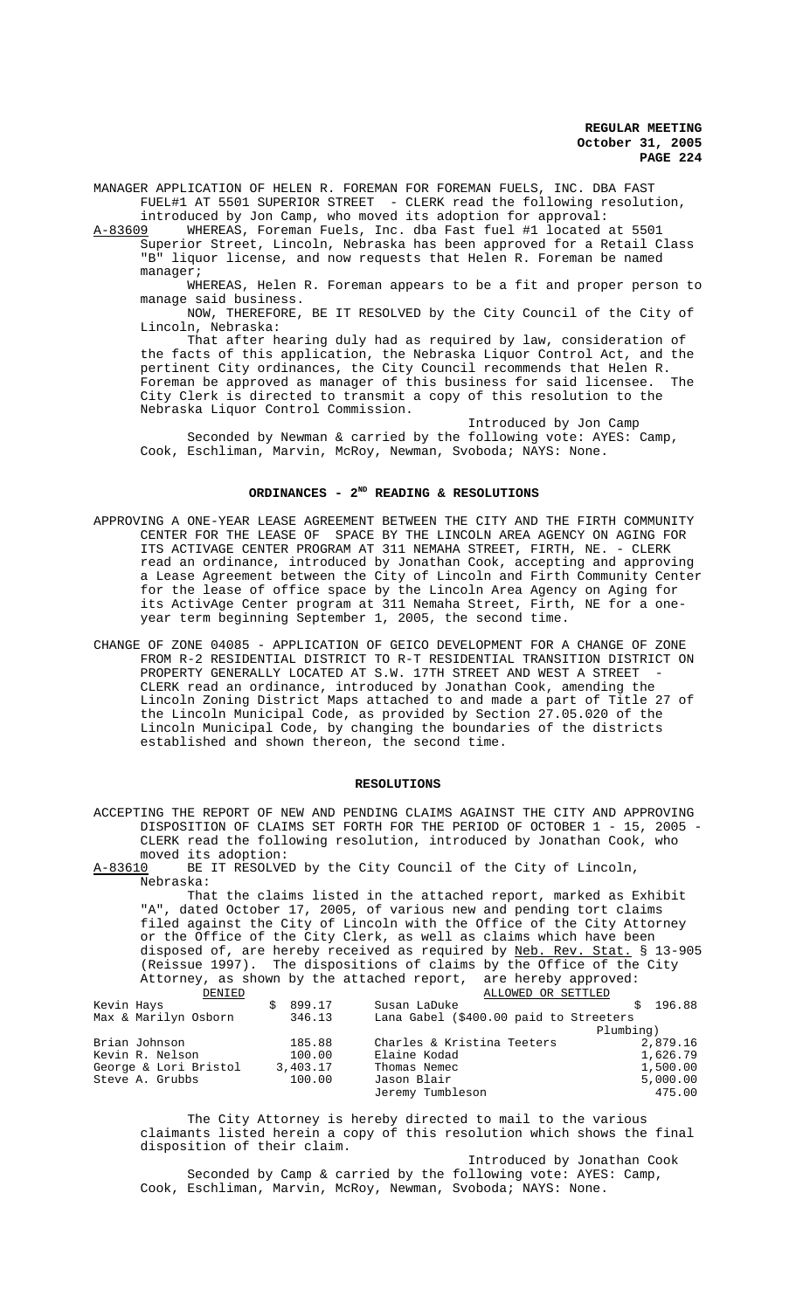**REGULAR MEETING October 31, 2005 PAGE 224**

MANAGER APPLICATION OF HELEN R. FOREMAN FOR FOREMAN FUELS, INC. DBA FAST FUEL#1 AT 5501 SUPERIOR STREET - CLERK read the following resolution,

introduced by Jon Camp, who moved its adoption for approval:<br>A-83609 WHEREAS, Foreman Fuels, Inc. dba Fast fuel #1 located WHEREAS, Foreman Fuels, Inc. dba Fast fuel #1 located at 5501 Superior Street, Lincoln, Nebraska has been approved for a Retail Class "B" liquor license, and now requests that Helen R. Foreman be named manager;

WHEREAS, Helen R. Foreman appears to be a fit and proper person to manage said business.

NOW, THEREFORE, BE IT RESOLVED by the City Council of the City of Lincoln, Nebraska:

That after hearing duly had as required by law, consideration of the facts of this application, the Nebraska Liquor Control Act, and the pertinent City ordinances, the City Council recommends that Helen R.<br>Foreman be approved as manager of this business for said licensee. The Foreman be approved as manager of this business for said licensee. City Clerk is directed to transmit a copy of this resolution to the Nebraska Liquor Control Commission.

Introduced by Jon Camp Seconded by Newman & carried by the following vote: AYES: Camp, Cook, Eschliman, Marvin, McRoy, Newman, Svoboda; NAYS: None.

### ORDINANCES - 2<sup>ND</sup> READING & RESOLUTIONS

- APPROVING A ONE-YEAR LEASE AGREEMENT BETWEEN THE CITY AND THE FIRTH COMMUNITY CENTER FOR THE LEASE OF SPACE BY THE LINCOLN AREA AGENCY ON AGING FOR ITS ACTIVAGE CENTER PROGRAM AT 311 NEMAHA STREET, FIRTH, NE. - CLERK read an ordinance, introduced by Jonathan Cook, accepting and approving a Lease Agreement between the City of Lincoln and Firth Community Center for the lease of office space by the Lincoln Area Agency on Aging for its ActivAge Center program at 311 Nemaha Street, Firth, NE for a oneyear term beginning September 1, 2005, the second time.
- CHANGE OF ZONE 04085 APPLICATION OF GEICO DEVELOPMENT FOR A CHANGE OF ZONE FROM R-2 RESIDENTIAL DISTRICT TO R-T RESIDENTIAL TRANSITION DISTRICT ON PROPERTY GENERALLY LOCATED AT S.W. 17TH STREET AND WEST A STREET CLERK read an ordinance, introduced by Jonathan Cook, amending the Lincoln Zoning District Maps attached to and made a part of Title 27 of the Lincoln Municipal Code, as provided by Section 27.05.020 of the Lincoln Municipal Code, by changing the boundaries of the districts established and shown thereon, the second time.

#### **RESOLUTIONS**

ACCEPTING THE REPORT OF NEW AND PENDING CLAIMS AGAINST THE CITY AND APPROVING DISPOSITION OF CLAIMS SET FORTH FOR THE PERIOD OF OCTOBER 1 - 15, 2005 - CLERK read the following resolution, introduced by Jonathan Cook, who moved its adoption:<br>A-83610 BE IT RESOLVE BE IT RESOLVED by the City Council of the City of Lincoln, Nebraska: That the claims listed in the attached report, marked as Exhibit "A", dated October 17, 2005, of various new and pending tort claims filed against the City of Lincoln with the Office of the City Attorney or the Office of the City Clerk, as well as claims which have been disposed of, are hereby received as required by Neb. Rev. Stat. § 13-905 (Reissue 1997). The dispositions of claims by the Office of the City Attorney, as shown by the attached report, are hereby approved:<br><u>DENIED</u> ALLOWED OR SETTLED ENIED SUBSEXIED ALLOWED OR SETTLED<br>Kevin Hays \$899.17 Susan LaDuke Kevin Hays \$ 899.17 Susan LaDuke \$ 196.88 Lana Gabel (\$400.00 paid to Streeters<br>Plumbing) Plumbing) Brian Johnson 185.88 Charles & Kristina Teeters 2,879.16 Kevin R. Nelson 100.00 Elaine Kodad 1,626.79 George & Lori Bristol 3,403.17 Thomas Nemec Steve A. Grubbs 100.00 Jason Blair Steve A. Grubbs 100.00 Jason Blair 5,000.00 5,000.00<br>Jeremy Tumbleson 175.00 475.00 Jeremy Tumbleson

The City Attorney is hereby directed to mail to the various claimants listed herein a copy of this resolution which shows the final disposition of their claim.

Introduced by Jonathan Cook Seconded by Camp & carried by the following vote: AYES: Camp, Cook, Eschliman, Marvin, McRoy, Newman, Svoboda; NAYS: None.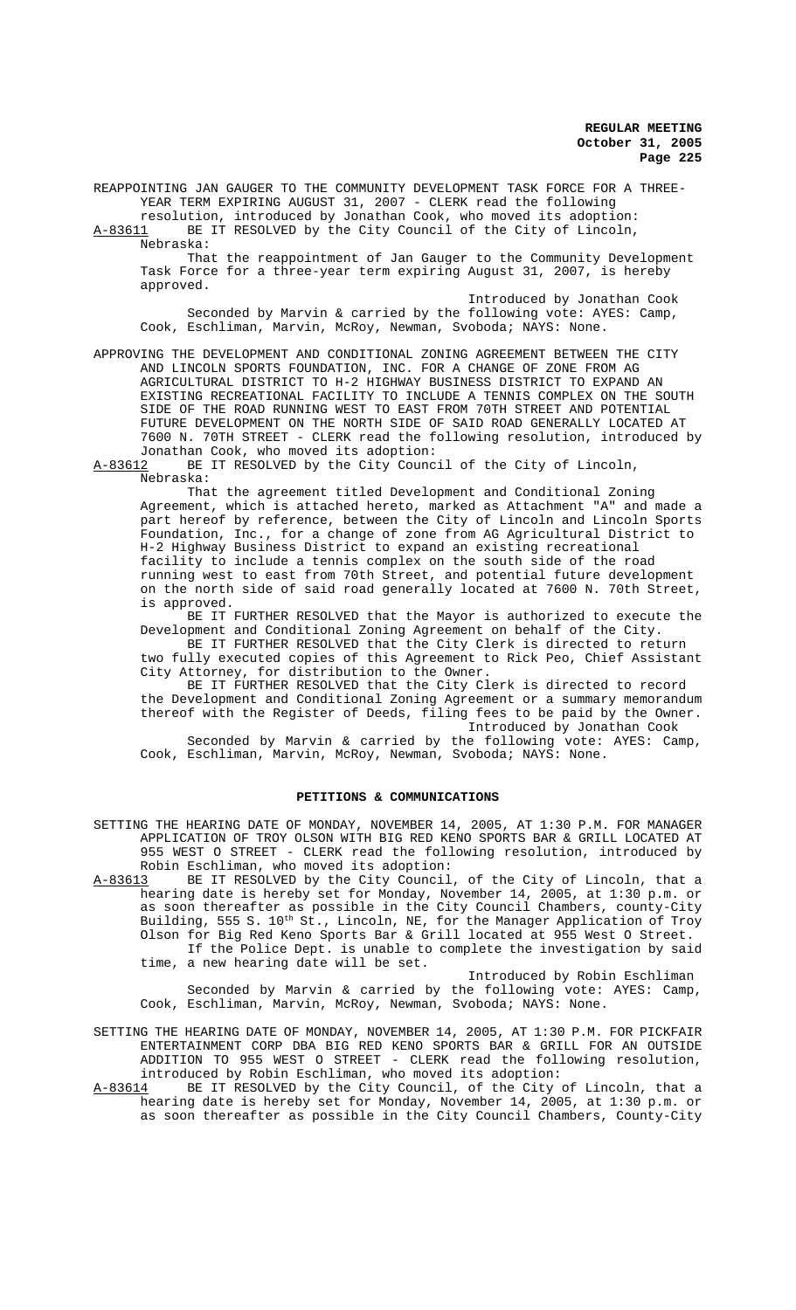**REGULAR MEETING October 31, 2005 Page 225**

REAPPOINTING JAN GAUGER TO THE COMMUNITY DEVELOPMENT TASK FORCE FOR A THREE-YEAR TERM EXPIRING AUGUST 31, 2007 - CLERK read the following resolution, introduced by Jonathan Cook, who moved its adoption:

A-83611 BE IT RESOLVED by the City Council of the City of Lincoln, Nebraska:

That the reappointment of Jan Gauger to the Community Development Task Force for a three-year term expiring August 31, 2007, is hereby approved.

Introduced by Jonathan Cook Seconded by Marvin & carried by the following vote: AYES: Camp, Cook, Eschliman, Marvin, McRoy, Newman, Svoboda; NAYS: None.

APPROVING THE DEVELOPMENT AND CONDITIONAL ZONING AGREEMENT BETWEEN THE CITY AND LINCOLN SPORTS FOUNDATION, INC. FOR A CHANGE OF ZONE FROM AG AGRICULTURAL DISTRICT TO H-2 HIGHWAY BUSINESS DISTRICT TO EXPAND AN EXISTING RECREATIONAL FACILITY TO INCLUDE A TENNIS COMPLEX ON THE SOUTH SIDE OF THE ROAD RUNNING WEST TO EAST FROM 70TH STREET AND POTENTIAL FUTURE DEVELOPMENT ON THE NORTH SIDE OF SAID ROAD GENERALLY LOCATED AT 7600 N. 70TH STREET - CLERK read the following resolution, introduced by Jonathan Cook, who moved its adoption:<br>A-83612 BE IT RESOLVED by the City Counc

BE IT RESOLVED by the City Council of the City of Lincoln, Nebraska:

That the agreement titled Development and Conditional Zoning Agreement, which is attached hereto, marked as Attachment "A" and made a part hereof by reference, between the City of Lincoln and Lincoln Sports Foundation, Inc., for a change of zone from AG Agricultural District to H-2 Highway Business District to expand an existing recreational facility to include a tennis complex on the south side of the road running west to east from 70th Street, and potential future development on the north side of said road generally located at 7600 N. 70th Street, is approved.

BE IT FURTHER RESOLVED that the Mayor is authorized to execute the Development and Conditional Zoning Agreement on behalf of the City.

BE IT FURTHER RESOLVED that the City Clerk is directed to return two fully executed copies of this Agreement to Rick Peo, Chief Assistant City Attorney, for distribution to the Owner.

BE IT FURTHER RESOLVED that the City Clerk is directed to record the Development and Conditional Zoning Agreement or a summary memorandum thereof with the Register of Deeds, filing fees to be paid by the Owner. Introduced by Jonathan Cook

Seconded by Marvin & carried by the following vote: AYES: Camp, Cook, Eschliman, Marvin, McRoy, Newman, Svoboda; NAYS: None.

### **PETITIONS & COMMUNICATIONS**

SETTING THE HEARING DATE OF MONDAY, NOVEMBER 14, 2005, AT 1:30 P.M. FOR MANAGER APPLICATION OF TROY OLSON WITH BIG RED KENO SPORTS BAR & GRILL LOCATED AT 955 WEST O STREET - CLERK read the following resolution, introduced by Robin Eschliman, who moved its adoption:

A-83613 BE IT RESOLVED by the City Council, of the City of Lincoln, that a hearing date is hereby set for Monday, November 14, 2005, at 1:30 p.m. or as soon thereafter as possible in the City Council Chambers, county-City Building, 555 S. 10<sup>th</sup> St., Lincoln, NE, for the Manager Application of Troy Olson for Big Red Keno Sports Bar & Grill located at 955 West O Street. If the Police Dept. is unable to complete the investigation by said time, a new hearing date will be set.

Introduced by Robin Eschliman Seconded by Marvin & carried by the following vote: AYES: Camp, Cook, Eschliman, Marvin, McRoy, Newman, Svoboda; NAYS: None.

SETTING THE HEARING DATE OF MONDAY, NOVEMBER 14, 2005, AT 1:30 P.M. FOR PICKFAIR ENTERTAINMENT CORP DBA BIG RED KENO SPORTS BAR & GRILL FOR AN OUTSIDE ADDITION TO 955 WEST O STREET - CLERK read the following resolution, introduced by Robin Eschliman, who moved its adoption:

A-83614 BE IT RESOLVED by the City Council, of the City of Lincoln, that a hearing date is hereby set for Monday, November 14, 2005, at 1:30 p.m. or as soon thereafter as possible in the City Council Chambers, County-City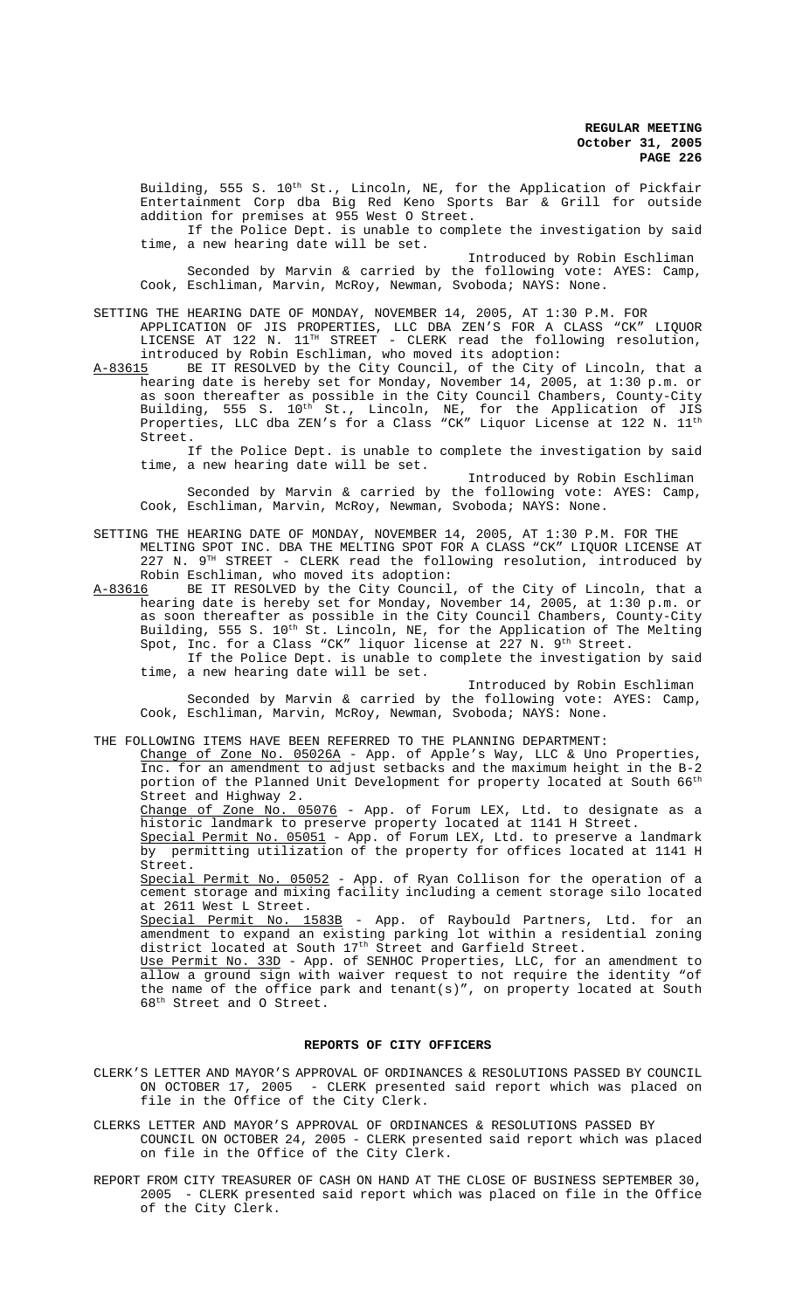Building, 555 S. 10<sup>th</sup> St., Lincoln, NE, for the Application of Pickfair Entertainment Corp dba Big Red Keno Sports Bar & Grill for outside addition for premises at 955 West O Street.

If the Police Dept. is unable to complete the investigation by said time, a new hearing date will be set.

Introduced by Robin Eschliman Seconded by Marvin & carried by the following vote: AYES: Camp, Cook, Eschliman, Marvin, McRoy, Newman, Svoboda; NAYS: None.

# SETTING THE HEARING DATE OF MONDAY, NOVEMBER 14, 2005, AT 1:30 P.M. FOR

APPLICATION OF JIS PROPERTIES, LLC DBA ZEN'S FOR A CLASS "CK" LIQUOR LICENSE AT 122 N.  $11^{TH}$  STREET - CLERK read the following resolution, introduced by Robin Eschliman, who moved its adoption:

A-83615 BE IT RESOLVED by the City Council, of the City of Lincoln, that a hearing date is hereby set for Monday, November 14, 2005, at 1:30 p.m. or as soon thereafter as possible in the City Council Chambers, County-City Building, 555 S. 10<sup>th</sup> St., Lincoln, NE, for the Application of JIS Properties, LLC dba ZEN's for a Class "CK" Liquor License at 122 N.  $11^{\rm th}$ Street.

If the Police Dept. is unable to complete the investigation by said time, a new hearing date will be set.

Introduced by Robin Eschliman Seconded by Marvin & carried by the following vote: AYES: Camp, Cook, Eschliman, Marvin, McRoy, Newman, Svoboda; NAYS: None.

SETTING THE HEARING DATE OF MONDAY, NOVEMBER 14, 2005, AT 1:30 P.M. FOR THE MELTING SPOT INC. DBA THE MELTING SPOT FOR A CLASS "CK" LIQUOR LICENSE AT  $227$  N.  $9^{TH}$  STREET - CLERK read the following resolution, introduced by Robin Eschliman, who moved its adoption:

A-83616 BE IT RESOLVED by the City Council, of the City of Lincoln, that a hearing date is hereby set for Monday, November 14, 2005, at 1:30 p.m. or as soon thereafter as possible in the City Council Chambers, County-City Building, 555 S. 10<sup>th</sup> St. Lincoln, NE, for the Application of The Melting Spot, Inc. for a Class "CK" liquor license at 227 N.  $9^{\text{th}}$  Street. If the Police Dept. is unable to complete the investigation by said

time, a new hearing date will be set.

Introduced by Robin Eschliman Seconded by Marvin & carried by the following vote: AYES: Camp, Cook, Eschliman, Marvin, McRoy, Newman, Svoboda; NAYS: None.

THE FOLLOWING ITEMS HAVE BEEN REFERRED TO THE PLANNING DEPARTMENT:

Change of Zone No. 05026A - App. of Apple's Way, LLC & Uno Properties, Inc. for an amendment to adjust setbacks and the maximum height in the B-2 portion of the Planned Unit Development for property located at South 66<sup>th</sup> .<br>Street and Highway 2.

Change of Zone No. 05076 - App. of Forum LEX, Ltd. to designate as a historic landmark to preserve property located at 1141 H Street.

Special Permit No. 05051 - App. of Forum LEX, Ltd. to preserve a landmark by permitting utilization of the property for offices located at 1141 H Street.

Special Permit No. 05052 - App. of Ryan Collison for the operation of a cement storage and mixing facility including a cement storage silo located at 2611 West L Street.

Special Permit No. 1583B - App. of Raybould Partners, Ltd. for an amendment to expand an existing parking lot within a residential zoning district located at South 17<sup>th</sup> Street and Garfield Street.

Use Permit No. 33D - App. of SENHOC Properties, LLC, for an amendment to allow a ground sign with waiver request to not require the identity "of the name of the office park and tenant(s)", on property located at South 68<sup>th</sup> Street and O Street.

### **REPORTS OF CITY OFFICERS**

- CLERK'S LETTER AND MAYOR'S APPROVAL OF ORDINANCES & RESOLUTIONS PASSED BY COUNCIL ON OCTOBER 17, 2005 - CLERK presented said report which was placed on file in the Office of the City Clerk.
- CLERKS LETTER AND MAYOR'S APPROVAL OF ORDINANCES & RESOLUTIONS PASSED BY COUNCIL ON OCTOBER 24, 2005 - CLERK presented said report which was placed on file in the Office of the City Clerk.
- REPORT FROM CITY TREASURER OF CASH ON HAND AT THE CLOSE OF BUSINESS SEPTEMBER 30, 2005 - CLERK presented said report which was placed on file in the Office of the City Clerk.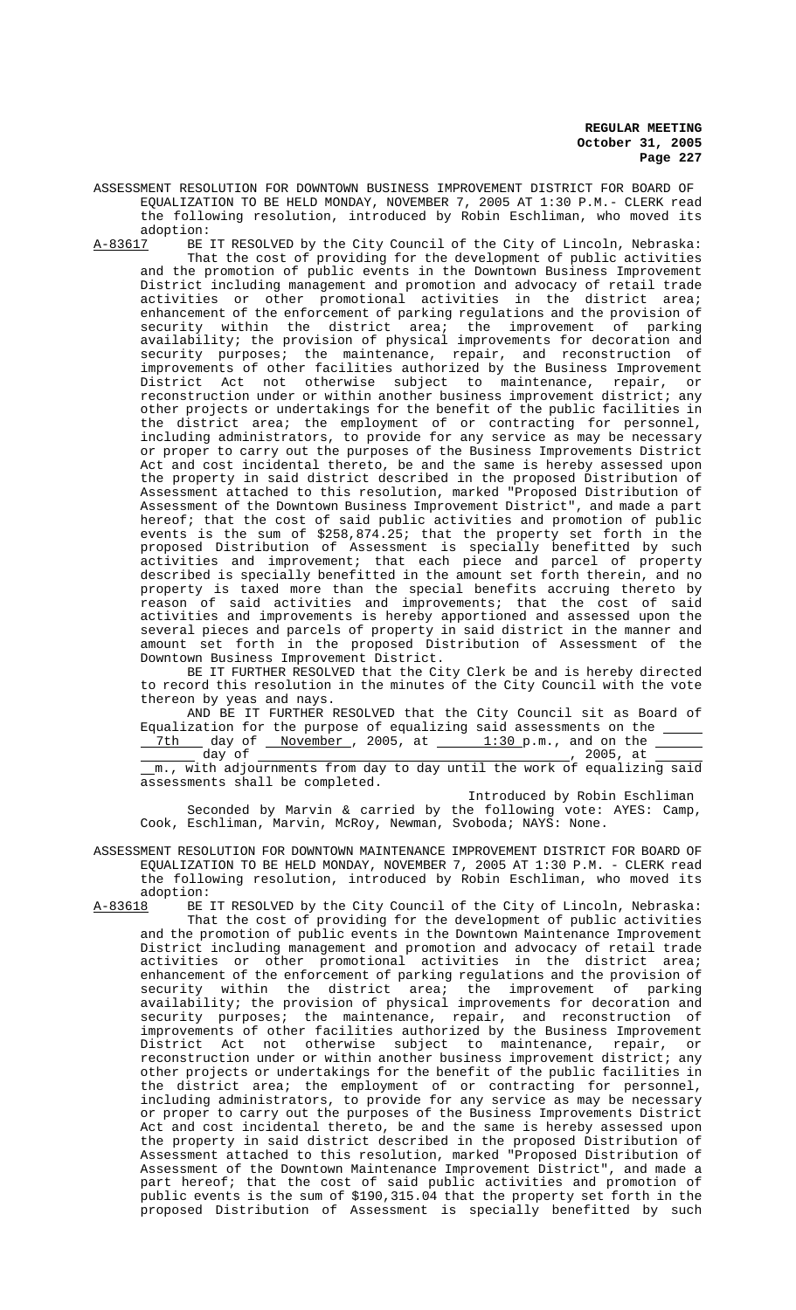**REGULAR MEETING October 31, 2005 Page 227**

ASSESSMENT RESOLUTION FOR DOWNTOWN BUSINESS IMPROVEMENT DISTRICT FOR BOARD OF EQUALIZATION TO BE HELD MONDAY, NOVEMBER 7, 2005 AT 1:30 P.M.- CLERK read the following resolution, introduced by Robin Eschliman, who moved its

adoption:<br>A-83617 BE BE IT RESOLVED by the City Council of the City of Lincoln, Nebraska: That the cost of providing for the development of public activities and the promotion of public events in the Downtown Business Improvement District including management and promotion and advocacy of retail trade activities or other promotional activities in the district area; enhancement of the enforcement of parking regulations and the provision of security within the district area; the improvement of parking availability; the provision of physical improvements for decoration and security purposes; the maintenance, repair, and reconstruction of improvements of other facilities authorized by the Business Improvement District Act not otherwise subject to maintenance, repair, or reconstruction under or within another business improvement district; any other projects or undertakings for the benefit of the public facilities in the district area; the employment of or contracting for personnel, including administrators, to provide for any service as may be necessary or proper to carry out the purposes of the Business Improvements District Act and cost incidental thereto, be and the same is hereby assessed upon the property in said district described in the proposed Distribution of Assessment attached to this resolution, marked "Proposed Distribution of Assessment of the Downtown Business Improvement District", and made a part hereof; that the cost of said public activities and promotion of public events is the sum of \$258,874.25; that the property set forth in the proposed Distribution of Assessment is specially benefitted by such activities and improvement; that each piece and parcel of property described is specially benefitted in the amount set forth therein, and no property is taxed more than the special benefits accruing thereto by reason of said activities and improvements; that the cost of said activities and improvements is hereby apportioned and assessed upon the several pieces and parcels of property in said district in the manner and amount set forth in the proposed Distribution of Assessment of the Downtown Business Improvement District.

BE IT FURTHER RESOLVED that the City Clerk be and is hereby directed to record this resolution in the minutes of the City Council with the vote thereon by yeas and nays.

AND BE IT FURTHER RESOLVED that the City Council sit as Board of Equalization for the purpose of equalizing said assessments on the \_\_\_\_\_  $7th$  day of November, 2005, at  $1:30$  p.m., and on the

 day of , 2005, at m., with adjournments from day to day until the work of equalizing said assessments shall be completed.

Introduced by Robin Eschliman

Seconded by Marvin & carried by the following vote: AYES: Camp, Cook, Eschliman, Marvin, McRoy, Newman, Svoboda; NAYS: None.

ASSESSMENT RESOLUTION FOR DOWNTOWN MAINTENANCE IMPROVEMENT DISTRICT FOR BOARD OF EQUALIZATION TO BE HELD MONDAY, NOVEMBER 7, 2005 AT 1:30 P.M. - CLERK read the following resolution, introduced by Robin Eschliman, who moved its adoption:

A-83618 BE IT RESOLVED by the City Council of the City of Lincoln, Nebraska: That the cost of providing for the development of public activities and the promotion of public events in the Downtown Maintenance Improvement District including management and promotion and advocacy of retail trade activities or other promotional activities in the district area; enhancement of the enforcement of parking regulations and the provision of security within the district area; the improvement of parking availability; the provision of physical improvements for decoration and security purposes; the maintenance, repair, and reconstruction of improvements of other facilities authorized by the Business Improvement District Act not otherwise subject to maintenance, repair, or reconstruction under or within another business improvement district; any other projects or undertakings for the benefit of the public facilities in the district area; the employment of or contracting for personnel, including administrators, to provide for any service as may be necessary or proper to carry out the purposes of the Business Improvements District Act and cost incidental thereto, be and the same is hereby assessed upon the property in said district described in the proposed Distribution of Assessment attached to this resolution, marked "Proposed Distribution of Assessment of the Downtown Maintenance Improvement District", and made a part hereof; that the cost of said public activities and promotion of public events is the sum of \$190,315.04 that the property set forth in the proposed Distribution of Assessment is specially benefitted by such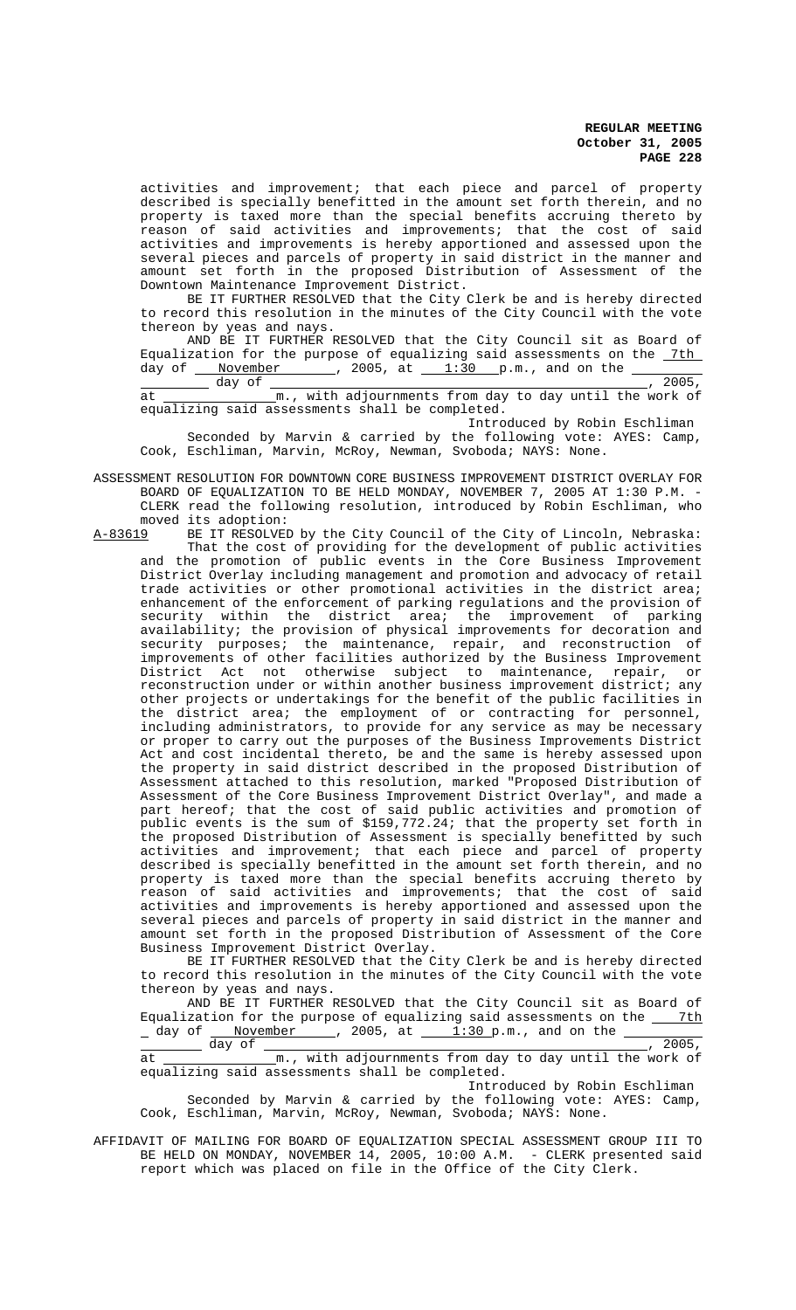**REGULAR MEETING October 31, 2005 PAGE 228**

activities and improvement; that each piece and parcel of property described is specially benefitted in the amount set forth therein, and no property is taxed more than the special benefits accruing thereto by reason of said activities and improvements; that the cost of said activities and improvements is hereby apportioned and assessed upon the several pieces and parcels of property in said district in the manner and amount set forth in the proposed Distribution of Assessment of the Downtown Maintenance Improvement District.

BE IT FURTHER RESOLVED that the City Clerk be and is hereby directed to record this resolution in the minutes of the City Council with the vote thereon by yeas and nays.

AND BE IT FURTHER RESOLVED that the City Council sit as Board of Equalization for the purpose of equalizing said assessments on the <u>7th</u> day of  $\frac{Noverber}{N}$ , 2005,  $\bar{a}t$   $\frac{1:30}{N}$  p.m., and on the

 day of , 2005, at <u>\_\_\_\_\_\_\_\_\_\_\_\_\_\_\_\_</u>m., with adjournments from day to day until the work of equalizing said assessments shall be completed.

Introduced by Robin Eschliman Seconded by Marvin & carried by the following vote: AYES: Camp, Cook, Eschliman, Marvin, McRoy, Newman, Svoboda; NAYS: None.

ASSESSMENT RESOLUTION FOR DOWNTOWN CORE BUSINESS IMPROVEMENT DISTRICT OVERLAY FOR BOARD OF EQUALIZATION TO BE HELD MONDAY, NOVEMBER 7, 2005 AT 1:30 P.M. - CLERK read the following resolution, introduced by Robin Eschliman, who moved its adoption:<br>A-83619 BE IT RESOLVEI

BE IT RESOLVED by the City Council of the City of Lincoln, Nebraska: That the cost of providing for the development of public activities and the promotion of public events in the Core Business Improvement District Overlay including management and promotion and advocacy of retail trade activities or other promotional activities in the district area; enhancement of the enforcement of parking regulations and the provision of security within the district area; the improvement of parking availability; the provision of physical improvements for decoration and security purposes; the maintenance, repair, and reconstruction of improvements of other facilities authorized by the Business Improvement District Act not otherwise subject to maintenance, repair, or reconstruction under or within another business improvement district; any other projects or undertakings for the benefit of the public facilities in the district area; the employment of or contracting for personnel, including administrators, to provide for any service as may be necessary or proper to carry out the purposes of the Business Improvements District Act and cost incidental thereto, be and the same is hereby assessed upon the property in said district described in the proposed Distribution of Assessment attached to this resolution, marked "Proposed Distribution of Assessment of the Core Business Improvement District Overlay", and made a part hereof; that the cost of said public activities and promotion of public events is the sum of \$159,772.24; that the property set forth in the proposed Distribution of Assessment is specially benefitted by such activities and improvement; that each piece and parcel of property described is specially benefitted in the amount set forth therein, and no property is taxed more than the special benefits accruing thereto by reason of said activities and improvements; that the cost of said activities and improvements is hereby apportioned and assessed upon the several pieces and parcels of property in said district in the manner and amount set forth in the proposed Distribution of Assessment of the Core Business Improvement District Overlay.

BE IT FURTHER RESOLVED that the City Clerk be and is hereby directed to record this resolution in the minutes of the City Council with the vote thereon by yeas and nays.

AND BE IT FURTHER RESOLVED that the City Council sit as Board of Equalization for the purpose of equalizing said assessments on the  $\frac{7th}{1.30 \text{ p.m.}}$ , and on the  $\frac{7th}{1.30 \text{ p.m.}}$  $1:30$  p.m., and on the

day of  $\frac{1}{\frac{m}{\pi} \cdot \frac{m}{\pi}}$ , 2005,  $\frac{1}{\pi}$ , 2005, Im., with adjournments from day to day until the work of equalizing said assessments shall be completed.

Introduced by Robin Eschliman Seconded by Marvin & carried by the following vote: AYES: Camp, Cook, Eschliman, Marvin, McRoy, Newman, Svoboda; NAYS: None.

AFFIDAVIT OF MAILING FOR BOARD OF EQUALIZATION SPECIAL ASSESSMENT GROUP III TO BE HELD ON MONDAY, NOVEMBER 14, 2005, 10:00 A.M. - CLERK presented said report which was placed on file in the Office of the City Clerk.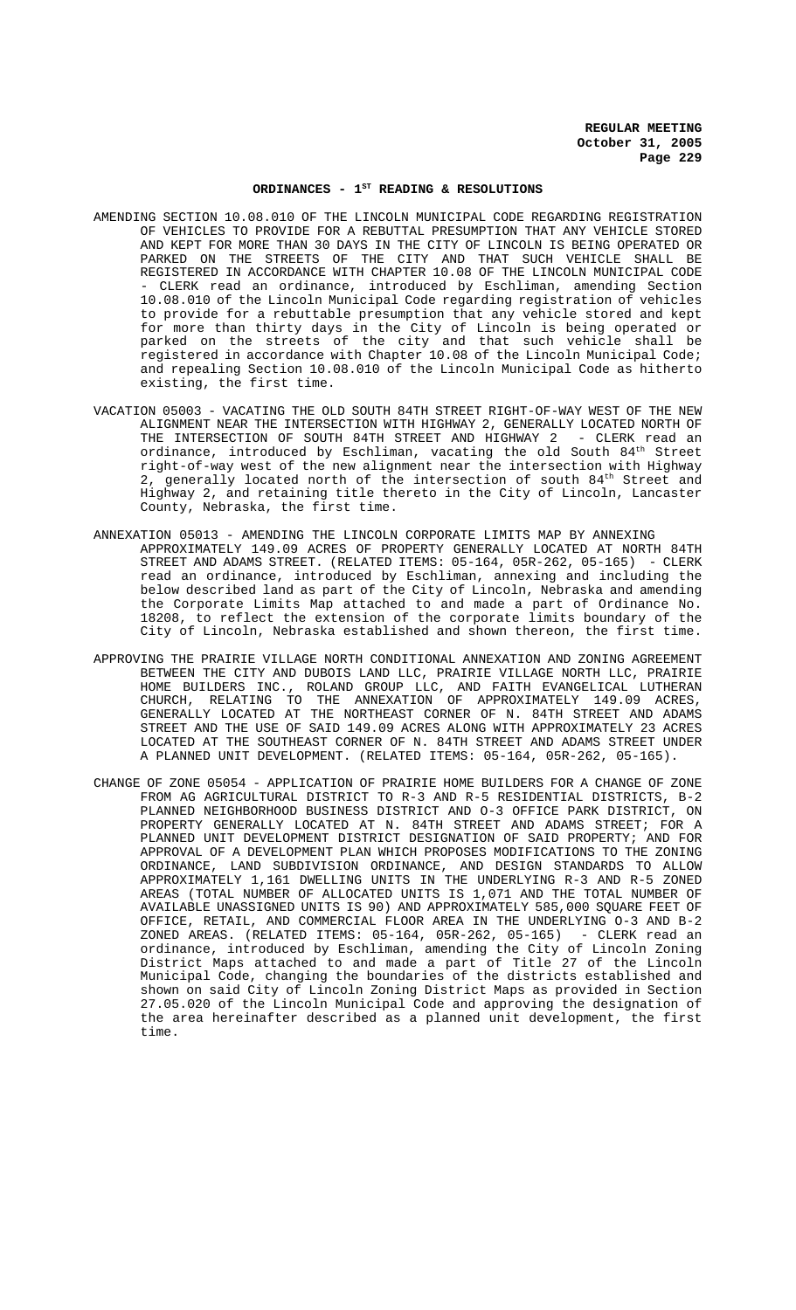# ORDINANCES -  $1^{ST}$  READING & RESOLUTIONS

- AMENDING SECTION 10.08.010 OF THE LINCOLN MUNICIPAL CODE REGARDING REGISTRATION OF VEHICLES TO PROVIDE FOR A REBUTTAL PRESUMPTION THAT ANY VEHICLE STORED AND KEPT FOR MORE THAN 30 DAYS IN THE CITY OF LINCOLN IS BEING OPERATED OR PARKED ON THE STREETS OF THE CITY AND THAT SUCH VEHICLE SHALL BE REGISTERED IN ACCORDANCE WITH CHAPTER 10.08 OF THE LINCOLN MUNICIPAL CODE CLERK read an ordinance, introduced by Eschliman, amending Section 10.08.010 of the Lincoln Municipal Code regarding registration of vehicles to provide for a rebuttable presumption that any vehicle stored and kept for more than thirty days in the City of Lincoln is being operated or parked on the streets of the city and that such vehicle shall be registered in accordance with Chapter 10.08 of the Lincoln Municipal Code; and repealing Section 10.08.010 of the Lincoln Municipal Code as hitherto existing, the first time.
- VACATION 05003 VACATING THE OLD SOUTH 84TH STREET RIGHT-OF-WAY WEST OF THE NEW ALIGNMENT NEAR THE INTERSECTION WITH HIGHWAY 2, GENERALLY LOCATED NORTH OF THE INTERSECTION OF SOUTH 84TH STREET AND HIGHWAY 2 - CLERK read an ordinance, introduced by Eschliman, vacating the old South 84<sup>th</sup> Street right-of-way west of the new alignment near the intersection with Highway 2, generally located north of the intersection of south  $84^{\text{th}}$  Street and Highway 2, and retaining title thereto in the City of Lincoln, Lancaster County, Nebraska, the first time.
- ANNEXATION 05013 AMENDING THE LINCOLN CORPORATE LIMITS MAP BY ANNEXING APPROXIMATELY 149.09 ACRES OF PROPERTY GENERALLY LOCATED AT NORTH 84TH STREET AND ADAMS STREET. (RELATED ITEMS: 05-164, 05R-262, 05-165) - CLERK read an ordinance, introduced by Eschliman, annexing and including the below described land as part of the City of Lincoln, Nebraska and amending the Corporate Limits Map attached to and made a part of Ordinance No. 18208, to reflect the extension of the corporate limits boundary of the City of Lincoln, Nebraska established and shown thereon, the first time.
- APPROVING THE PRAIRIE VILLAGE NORTH CONDITIONAL ANNEXATION AND ZONING AGREEMENT BETWEEN THE CITY AND DUBOIS LAND LLC, PRAIRIE VILLAGE NORTH LLC, PRAIRIE HOME BUILDERS INC., ROLAND GROUP LLC, AND FAITH EVANGELICAL LUTHERAN CHURCH, RELATING TO THE ANNEXATION OF APPROXIMATELY 149.09 ACRES, GENERALLY LOCATED AT THE NORTHEAST CORNER OF N. 84TH STREET AND ADAMS STREET AND THE USE OF SAID 149.09 ACRES ALONG WITH APPROXIMATELY 23 ACRES LOCATED AT THE SOUTHEAST CORNER OF N. 84TH STREET AND ADAMS STREET UNDER A PLANNED UNIT DEVELOPMENT. (RELATED ITEMS: 05-164, 05R-262, 05-165).
- CHANGE OF ZONE 05054 APPLICATION OF PRAIRIE HOME BUILDERS FOR A CHANGE OF ZONE FROM AG AGRICULTURAL DISTRICT TO R-3 AND R-5 RESIDENTIAL DISTRICTS, B-2 PLANNED NEIGHBORHOOD BUSINESS DISTRICT AND O-3 OFFICE PARK DISTRICT, ON PROPERTY GENERALLY LOCATED AT N. 84TH STREET AND ADAMS STREET; FOR A PLANNED UNIT DEVELOPMENT DISTRICT DESIGNATION OF SAID PROPERTY; AND FOR APPROVAL OF A DEVELOPMENT PLAN WHICH PROPOSES MODIFICATIONS TO THE ZONING ORDINANCE, LAND SUBDIVISION ORDINANCE, AND DESIGN STANDARDS TO ALLOW APPROXIMATELY 1,161 DWELLING UNITS IN THE UNDERLYING R-3 AND R-5 ZONED AREAS (TOTAL NUMBER OF ALLOCATED UNITS IS 1,071 AND THE TOTAL NUMBER OF AVAILABLE UNASSIGNED UNITS IS 90) AND APPROXIMATELY 585,000 SQUARE FEET OF OFFICE, RETAIL, AND COMMERCIAL FLOOR AREA IN THE UNDERLYING O-3 AND B-2 ZONED AREAS. (RELATED ITEMS: 05-164, 05R-262, 05-165) ordinance, introduced by Eschliman, amending the City of Lincoln Zoning District Maps attached to and made a part of Title 27 of the Lincoln Municipal Code, changing the boundaries of the districts established and shown on said City of Lincoln Zoning District Maps as provided in Section 27.05.020 of the Lincoln Municipal Code and approving the designation of the area hereinafter described as a planned unit development, the first time.